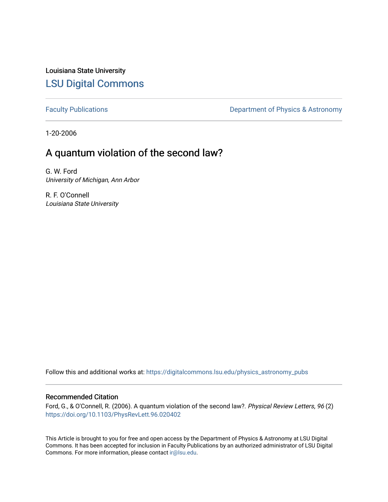Louisiana State University [LSU Digital Commons](https://digitalcommons.lsu.edu/)

[Faculty Publications](https://digitalcommons.lsu.edu/physics_astronomy_pubs) **Exercise 2** Constant Department of Physics & Astronomy

1-20-2006

# A quantum violation of the second law?

G. W. Ford University of Michigan, Ann Arbor

R. F. O'Connell Louisiana State University

Follow this and additional works at: [https://digitalcommons.lsu.edu/physics\\_astronomy\\_pubs](https://digitalcommons.lsu.edu/physics_astronomy_pubs?utm_source=digitalcommons.lsu.edu%2Fphysics_astronomy_pubs%2F3886&utm_medium=PDF&utm_campaign=PDFCoverPages) 

### Recommended Citation

Ford, G., & O'Connell, R. (2006). A quantum violation of the second law?. Physical Review Letters, 96 (2) <https://doi.org/10.1103/PhysRevLett.96.020402>

This Article is brought to you for free and open access by the Department of Physics & Astronomy at LSU Digital Commons. It has been accepted for inclusion in Faculty Publications by an authorized administrator of LSU Digital Commons. For more information, please contact [ir@lsu.edu](mailto:ir@lsu.edu).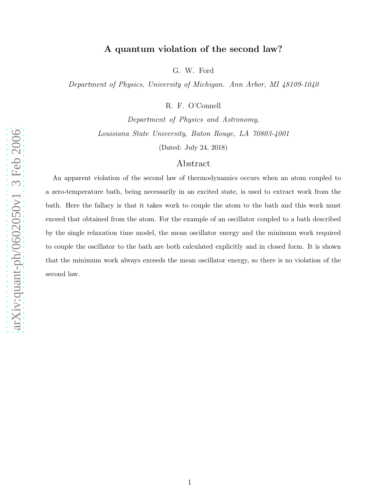# A quantum violation of the second law?

G. W. Ford

Department of Physics, University of Michigan. Ann Arbor, MI 48109-1040

R. F. O'Connell

Department of Physics and Astronomy, Louisiana State University, Baton Rouge, LA 70803-4001

(Dated: July 24, 2018)

## Abstract

An apparent violation of the second law of thermodynamics occurs when an atom coupled to a zero-temperature bath, being necessarily in an excited state, is used to extract work from the bath. Here the fallacy is that it takes work to couple the atom to the bath and this work must exceed that obtained from the atom. For the example of an oscillator coupled to a bath described by the single relaxation time model, the mean oscillator energy and the minimum work required to couple the oscillator to the bath are both calculated explicitly and in closed form. It is shown that the minimum work always exceeds the mean oscillator energy, so there is no violation of the second law.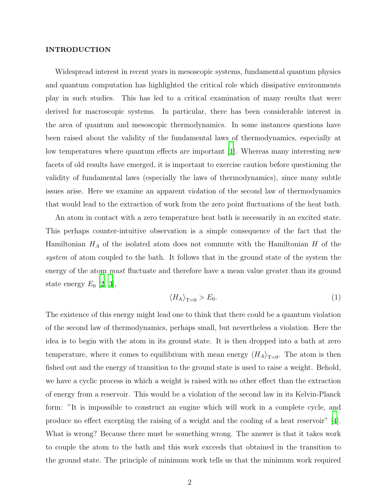#### INTRODUCTION

Widespread interest in recent years in mesoscopic systems, fundamental quantum physics and quantum computation has highlighted the critical role which dissipative environments play in such studies. This has led to a critical examination of many results that were derived for macroscopic systems. In particular, there has been considerable interest in the area of quantum and mesoscopic thermodynamics. In some instances questions have been raised about the validity of the fundamental laws of thermodynamics, especially at low temperatures where quantum effects are important [\[1](#page-6-0)]. Whereas many interesting new facets of old results have emerged, it is important to exercise caution before questioning the validity of fundamental laws (especially the laws of thermodynamics), since many subtle issues arise. Here we examine an apparent violation of the second law of thermodynamics that would lead to the extraction of work from the zero point fluctuations of the heat bath.

An atom in contact with a zero temperature heat bath is necessarily in an excited state. This perhaps counter-intuitive observation is a simple consequence of the fact that the Hamiltonian  $H_A$  of the isolated atom does not commute with the Hamiltonian  $H$  of the system of atom coupled to the bath. It follows that in the ground state of the system the energy of the atom *must* fluctuate and therefore have a mean value greater than its ground state energy  $E_0$  [\[2,](#page-6-1) [3](#page-6-2)],

$$
\left\langle H_{\rm A} \right\rangle_{\rm T=0} > E_0. \tag{1}
$$

The existence of this energy might lead one to think that there could be a quantum violation of the second law of thermodynamics, perhaps small, but nevertheless a violation. Here the idea is to begin with the atom in its ground state. It is then dropped into a bath at zero temperature, where it comes to equilibrium with mean energy  $\langle H_A \rangle_{T=0}$ . The atom is then fished out and the energy of transition to the ground state is used to raise a weight. Behold, we have a cyclic process in which a weight is raised with no other effect than the extraction of energy from a reservoir. This would be a violation of the second law in its Kelvin-Planck form: "It is impossible to construct an engine which will work in a complete cycle, and produce no effect excepting the raising of a weight and the cooling of a heat reservoir"  $|4|$ . What is wrong? Because there must be something wrong. The answer is that it takes work to couple the atom to the bath and this work exceeds that obtained in the transition to the ground state. The principle of minimum work tells us that the minimum work required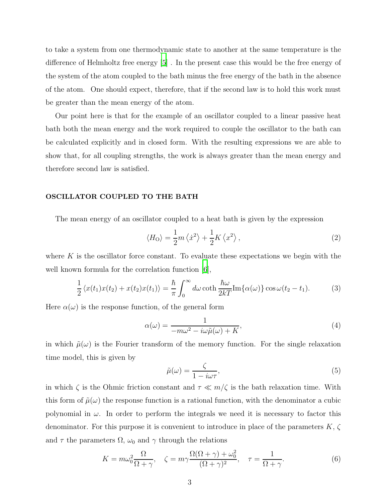to take a system from one thermodynamic state to another at the same temperature is the difference of Helmholtz free energy [\[5\]](#page-6-4) . In the present case this would be the free energy of the system of the atom coupled to the bath minus the free energy of the bath in the absence of the atom. One should expect, therefore, that if the second law is to hold this work must be greater than the mean energy of the atom.

Our point here is that for the example of an oscillator coupled to a linear passive heat bath both the mean energy and the work required to couple the oscillator to the bath can be calculated explicitly and in closed form. With the resulting expressions we are able to show that, for all coupling strengths, the work is always greater than the mean energy and therefore second law is satisfied.

### OSCILLATOR COUPLED TO THE BATH

The mean energy of an oscillator coupled to a heat bath is given by the expression

<span id="page-3-3"></span><span id="page-3-2"></span>
$$
\langle H_{\rm O} \rangle = \frac{1}{2} m \left\langle \dot{x}^2 \right\rangle + \frac{1}{2} K \left\langle x^2 \right\rangle,\tag{2}
$$

where  $K$  is the oscillator force constant. To evaluate these expectations we begin with the well known formula for the correlation function [\[6](#page-6-5)],

$$
\frac{1}{2} \langle x(t_1)x(t_2) + x(t_2)x(t_1) \rangle = \frac{\hbar}{\pi} \int_0^\infty d\omega \coth \frac{\hbar \omega}{2kT} \text{Im}\{\alpha(\omega)\} \cos \omega(t_2 - t_1).
$$
 (3)

Here  $\alpha(\omega)$  is the response function, of the general form

<span id="page-3-0"></span>
$$
\alpha(\omega) = \frac{1}{-m\omega^2 - i\omega\tilde{\mu}(\omega) + K},\tag{4}
$$

in which  $\tilde{\mu}(\omega)$  is the Fourier transform of the memory function. For the single relaxation time model, this is given by

<span id="page-3-1"></span>
$$
\tilde{\mu}(\omega) = \frac{\zeta}{1 - i\omega\tau},\tag{5}
$$

in which  $\zeta$  is the Ohmic friction constant and  $\tau \ll m/\zeta$  is the bath relaxation time. With this form of  $\tilde{\mu}(\omega)$  the response function is a rational function, with the denominator a cubic polynomial in  $\omega$ . In order to perform the integrals we need it is necessary to factor this denominator. For this purpose it is convenient to introduce in place of the parameters  $K, \zeta$ and  $\tau$  the parameters  $\Omega$ ,  $\omega_0$  and  $\gamma$  through the relations

$$
K = m\omega_0^2 \frac{\Omega}{\Omega + \gamma}, \quad \zeta = m\gamma \frac{\Omega(\Omega + \gamma) + \omega_0^2}{(\Omega + \gamma)^2}, \quad \tau = \frac{1}{\Omega + \gamma}.
$$
 (6)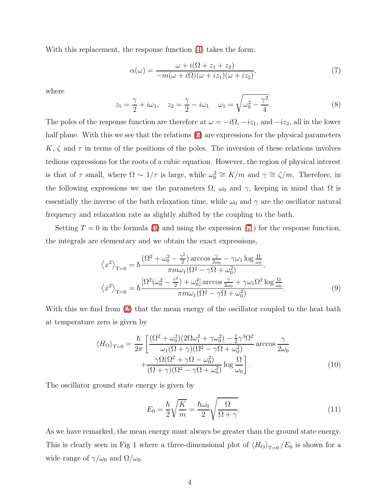With this replacement, the response function [\(4\)](#page-3-0) takes the form:

<span id="page-4-0"></span>
$$
\alpha(\omega) = \frac{\omega + i(\Omega + z_1 + z_2)}{-m(\omega + i\Omega)(\omega + iz_1)(\omega + iz_2)},\tag{7}
$$

where

$$
z_1 = \frac{\gamma}{2} + i\omega_1, \quad z_2 = \frac{\gamma}{2} - i\omega_1, \quad \omega_1 = \sqrt{\omega_0^2 - \frac{\gamma^2}{4}}.
$$
 (8)

The poles of the response function are therefore at  $\omega = -i\Omega$ ,  $-iz_1$ , and  $-iz_2$ , all in the lower half plane. With this we see that the relations  $(6)$  are expressions for the physical parameters K,  $\zeta$  and  $\tau$  in terms of the positions of the poles. The inversion of these relations involves tedious expressions for the roots of a cubic equation. However, the region of physical interest is that of  $\tau$  small, where  $\Omega \sim 1/\tau$  is large, while  $\omega_0^2 \cong K/m$  and  $\gamma \cong \zeta/m$ . Therefore, in the following expressions we use the parameters  $\Omega$ ,  $\omega_0$  and  $\gamma$ , keeping in mind that  $\Omega$  is essentially the inverse of the bath relaxation time, while  $\omega_0$  and  $\gamma$  are the oscillator natural frequency and relaxation rate as slightly shifted by the coupling to the bath.

Setting  $T = 0$  in the formula [\(3\)](#page-3-2) and using the expression [\(7](#page-4-0)) for the response function, the integrals are elementary and we obtain the exact expressions,

$$
\langle x^2 \rangle_{\mathcal{T}=0} = \hbar \frac{(\Omega^2 + \omega_0^2 - \frac{\gamma^2}{2}) \arccos \frac{\gamma}{2\omega_0} - \gamma \omega_1 \log \frac{\Omega}{\omega_0}}{\pi m \omega_1 (\Omega^2 - \gamma \Omega + \omega_0^2)},
$$
  

$$
\langle \dot{x}^2 \rangle_{\mathcal{T}=0} = \hbar \frac{[\Omega^2 (\omega_0^2 - \frac{\gamma^2}{2}) + \omega_0^4] \arccos \frac{\gamma}{2\omega_0} + \gamma \omega_1 \Omega^2 \log \frac{\Omega}{\omega_0}}{\pi m \omega_1 (\Omega^2 - \gamma \Omega + \omega_0^2)}.
$$
(9)

With this we find from [\(2\)](#page-3-3) that the mean energy of the oscillator coupled to the heat bath at temperature zero is given by

$$
\langle H_{\rm O} \rangle_{\rm T=0} = \frac{\hbar}{2\pi} \left[ \frac{(\Omega^2 + \omega_0^2)(2\Omega\omega_1^2 + \gamma\omega_0^2) - \frac{1}{2}\gamma^3 \Omega^2}{\omega_1(\Omega + \gamma)(\Omega^2 - \gamma\Omega + \omega_0^2)} \arccos \frac{\gamma}{2\omega_0} + \frac{\gamma\Omega(\Omega^2 + \gamma\Omega - \omega_0^2)}{(\Omega + \gamma)(\Omega^2 - \gamma\Omega + \omega_0^2)} \log \frac{\Omega}{\omega_0} \right].
$$
\n(10)

The oscillator ground state energy is given by

$$
E_0 = \frac{\hbar}{2} \sqrt{\frac{K}{m}} = \frac{\hbar \omega_0}{2} \sqrt{\frac{\Omega}{\Omega + \gamma}}.
$$
\n(11)

As we have remarked, the mean energy must always be greater than the ground state energy. This is clearly seen in Fig 1 where a three-dimensional plot of  $\langle H_{\rm O} \rangle_{\rm T=0} /E_0$  is shown for a wide range of  $\gamma/\omega_0$  and  $\Omega/\omega_0$ .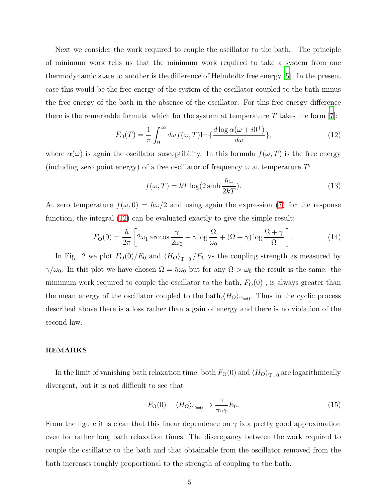Next we consider the work required to couple the oscillator to the bath. The principle of minimum work tells us that the minimum work required to take a system from one thermodynamic state to another is the difference of Helmholtz free energy [\[5\]](#page-6-4). In the present case this would be the free energy of the system of the oscillator coupled to the bath minus the free energy of the bath in the absence of the oscillator. For this free energy difference there is the remarkable formula which for the system at temperature T takes the form  $[7]$ :

$$
F_{\mathcal{O}}(T) = \frac{1}{\pi} \int_0^\infty d\omega f(\omega, T) \operatorname{Im} \{ \frac{d \log \alpha (\omega + i0^+)}{d\omega} \},\tag{12}
$$

where  $\alpha(\omega)$  is again the oscillator susceptibility. In this formula  $f(\omega, T)$  is the free energy (including zero point energy) of a free oscillator of frequency  $\omega$  at temperature T:

<span id="page-5-0"></span>
$$
f(\omega, T) = kT \log(2 \sinh \frac{\hbar \omega}{2kT}).
$$
\n(13)

At zero temperature  $f(\omega, 0) = \hbar \omega/2$  and using again the expression [\(7\)](#page-4-0) for the response function, the integral [\(12\)](#page-5-0) can be evaluated exactly to give the simple result:

$$
F_{\mathcal{O}}(0) = \frac{\hbar}{2\pi} \left[ 2\omega_1 \arccos \frac{\gamma}{2\omega_0} + \gamma \log \frac{\Omega}{\omega_0} + (\Omega + \gamma) \log \frac{\Omega + \gamma}{\Omega} \right].
$$
 (14)

In Fig. 2 we plot  $F_{\text{O}}(0)/E_0$  and  $\langle H_O \rangle_{T=0} /E_0$  vs the coupling strength as measured by  $\gamma/\omega_0$ . In this plot we have chosen  $\Omega = 5\omega_0$  but for any  $\Omega > \omega_0$  the result is the same: the minimum work required to couple the oscillator to the bath,  $F<sub>O</sub>(0)$ , is always greater than the mean energy of the oscillator coupled to the bath, $\langle H_O \rangle_{T=0}$ . Thus in the cyclic process described above there is a loss rather than a gain of energy and there is no violation of the second law.

### REMARKS

In the limit of vanishing bath relaxation time, both  $F_{\text{O}}(0)$  and  $\langle H_O \rangle_{T=0}$  are logarithmically divergent, but it is not difficult to see that

$$
F_{\mathcal{O}}(0) - \langle H_O \rangle_{\mathcal{T}=0} \to \frac{\gamma}{\pi \omega_0} E_0.
$$
\n(15)

From the figure it is clear that this linear dependence on  $\gamma$  is a pretty good approximation even for rather long bath relaxation times. The discrepancy between the work required to couple the oscillator to the bath and that obtainable from the oscillator removed from the bath increases roughly proportional to the strength of coupling to the bath.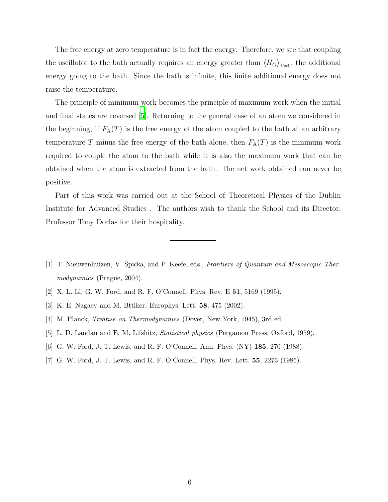The free energy at zero temperature is in fact the energy. Therefore, we see that coupling the oscillator to the bath actually requires an energy greater than  $\langle H_O \rangle_{T=0}$ , the additional energy going to the bath. Since the bath is infinite, this finite additional energy does not raise the temperature.

The principle of minimum work becomes the principle of maximum work when the initial and final states are reversed [\[5](#page-6-4)]. Returning to the general case of an atom we considered in the beginning, if  $F_A(T)$  is the free energy of the atom coupled to the bath at an arbitrary temperature T minus the free energy of the bath alone, then  $F_A(T)$  is the minimum work required to couple the atom to the bath while it is also the maximum work that can be obtained when the atom is extracted from the bath. The net work obtained can never be positive.

Part of this work was carried out at the School of Theoretical Physics of the Dublin Institute for Advanced Studies . The authors wish to thank the School and its Director, Professor Tony Dorlas for their hospitality.

- <span id="page-6-0"></span>[1] T. Nieuwenhuizen, V. Spicka, and P. Keefe, eds., Frontiers of Quantum and Mesoscopic Thermodynamics (Prague, 2004).
- <span id="page-6-1"></span>[2] X. L. Li, G. W. Ford, and R. F. O'Connell, Phys. Rev. E 51, 5169 (1995).
- <span id="page-6-2"></span>[3] K. E. Nagaev and M. Bttiker, Europhys. Lett. 58, 475 (2002).
- <span id="page-6-4"></span><span id="page-6-3"></span>[4] M. Planck, Treatise on Thermodynamics (Dover, New York, 1945), 3rd ed.
- <span id="page-6-5"></span>[5] L. D. Landau and E. M. Lifshitz, Statistical physics (Pergamon Press, Oxford, 1959).
- [6] G. W. Ford, J. T. Lewis, and R. F. O'Connell, Ann. Phys. (NY) 185, 270 (1988).
- <span id="page-6-6"></span>[7] G. W. Ford, J. T. Lewis, and R. F. O'Connell, Phys. Rev. Lett. 55, 2273 (1985).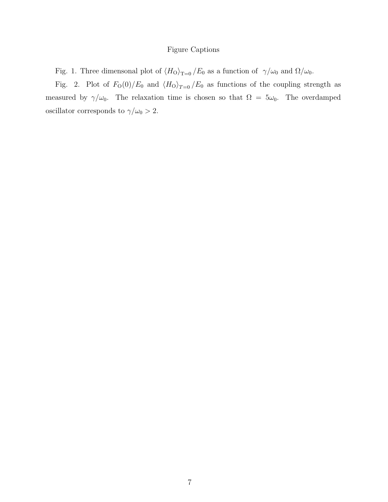# Figure Captions

Fig. 1. Three dimensonal plot of  $\langle H_{\rm O} \rangle_{\rm T=0} /E_0$  as a function of  $\gamma/\omega_0$  and  $\Omega/\omega_0$ .

Fig. 2. Plot of  $F_0(0)/E_0$  and  $\langle H_0 \rangle_{T=0}/E_0$  as functions of the coupling strength as measured by  $\gamma/\omega_0$ . The relaxation time is chosen so that  $\Omega = 5\omega_0$ . The overdamped oscillator corresponds to  $\gamma/\omega_0 > 2$ .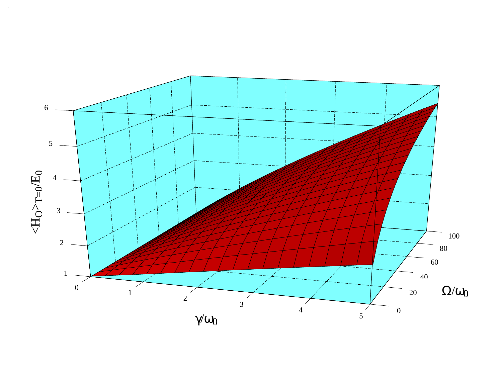